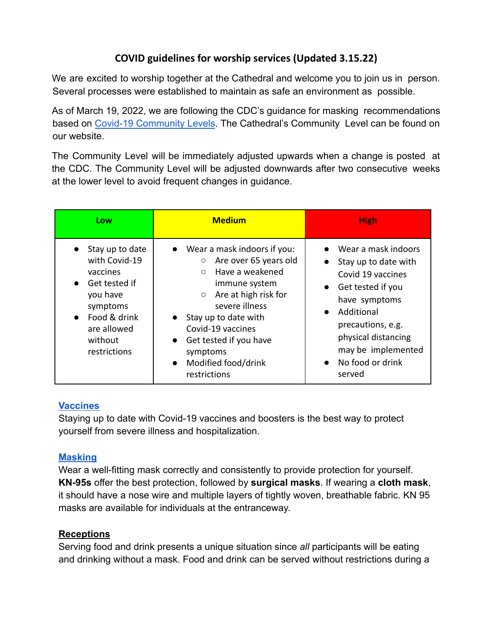# **COVID guidelines for worship services (Updated 3.15.22)**

We are excited to worship together at the Cathedral and welcome you to join us in person. Several processes were established to maintain as safe an environment as possible.

As of March 19, 2022, we are following the CDC's guidance for masking recommendations based on Covid-19 [Community](https://www.cdc.gov/coronavirus/2019-ncov/your-health/covid-by-county.html) Levels. The Cathedral's Community Level can be found on our website.

The Community Level will be immediately adjusted upwards when a change is posted at the CDC. The Community Level will be adjusted downwards after two consecutive weeks at the lower level to avoid frequent changes in guidance.

| Low                                                                                                                                                                       | <b>Medium</b>                                                                                                                                                                                                                                                                                                                                  | <b>High</b>                                                                                                                                                                                                                                                                |
|---------------------------------------------------------------------------------------------------------------------------------------------------------------------------|------------------------------------------------------------------------------------------------------------------------------------------------------------------------------------------------------------------------------------------------------------------------------------------------------------------------------------------------|----------------------------------------------------------------------------------------------------------------------------------------------------------------------------------------------------------------------------------------------------------------------------|
| Stay up to date<br>with Covid-19<br>vaccines<br>Get tested if<br>$\bullet$<br>you have<br>symptoms<br>Food & drink<br>$\bullet$<br>are allowed<br>without<br>restrictions | $\bullet$ Wear a mask indoors if you:<br>Are over 65 years old<br>$\bigcirc$<br>Have a weakened<br>$\circ$<br>immune system<br>$\circ$ Are at high risk for<br>severe illness<br>Stay up to date with<br>$\bullet$<br>Covid-19 vaccines<br>Get tested if you have<br>$\bullet$<br>symptoms<br>Modified food/drink<br>$\bullet$<br>restrictions | Wear a mask indoors<br>$\bullet$<br>Stay up to date with<br>$\bullet$<br>Covid 19 vaccines<br>• Get tested if you<br>have symptoms<br>Additional<br>$\bullet$<br>precautions, e.g.<br>physical distancing<br>may be implemented<br>No food or drink<br>$\bullet$<br>served |

### **[Vaccines](https://www.cdc.gov/coronavirus/2019-ncov/vaccines/index.html)**

Staying up to date with Covid-19 vaccines and boosters is the best way to protect yourself from severe illness and hospitalization.

### **[Masking](https://www.cdc.gov/coronavirus/2019-ncov/prevent-getting-sick/types-of-masks.html)**

Wear a well-fitting mask correctly and consistently to provide protection for yourself. **KN-95s** offer the best protection, followed by **surgical masks**. If wearing a **cloth mask**, it should have a nose wire and multiple layers of tightly woven, breathable fabric. KN 95 masks are available for individuals at the entranceway.

### **Receptions**

Serving food and drink presents a unique situation since *all* participants will be eating and drinking without a mask. Food and drink can be served without restrictions during a